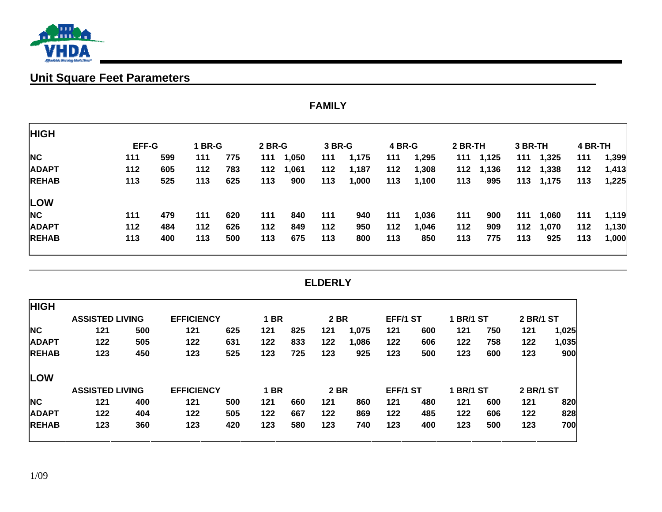

# **Unit Square Feet Parameters**

|              | <b>FAMILY</b> |     |        |     |        |       |        |       |        |       |         |       |         |           |         |       |
|--------------|---------------|-----|--------|-----|--------|-------|--------|-------|--------|-------|---------|-------|---------|-----------|---------|-------|
| <b>HIGH</b>  |               |     |        |     |        |       |        |       |        |       |         |       |         |           |         |       |
|              | <b>EFF-G</b>  |     | 1 BR-G |     | 2 BR-G |       | 3 BR-G |       | 4 BR-G |       | 2 BR-TH |       | 3 BR-TH |           | 4 BR-TH |       |
| <b>NC</b>    | 111           | 599 | 111    | 775 | 111    | 1,050 | 111    | 1,175 | 111    | 1,295 | 111     | 1,125 |         | 111 1,325 | 111     | 1,399 |
| <b>ADAPT</b> | 112           | 605 | 112    | 783 | 112    | 1,061 | 112    | 1,187 | 112    | 1,308 | 112     | 1,136 |         | 112 1,338 | 112     | 1,413 |
| <b>REHAB</b> | 113           | 525 | 113    | 625 | 113    | 900   | 113    | 1,000 | 113    | 1,100 | 113     | 995   |         | 113 1,175 | 113     | 1,225 |
| <b>LOW</b>   |               |     |        |     |        |       |        |       |        |       |         |       |         |           |         |       |
| <b>NC</b>    | 111           | 479 | 111    | 620 | 111    | 840   | 111    | 940   | 111    | 1,036 | 111     | 900   | 111     | 1,060     | 111     | 1,119 |
| <b>ADAPT</b> | 112           | 484 | 112    | 626 | 112    | 849   | 112    | 950   | 112    | 1,046 | 112     | 909   | 112     | 1,070     | 112     | 1,130 |
| <b>REHAB</b> | 113           | 400 | 113    | 500 | 113    | 675   | 113    | 800   | 113    | 850   | 113     | 775   | 113     | 925       | 113     | 1,000 |

#### **ELDERLY**

| <b>HIGH</b>  |                        |     |                   |     |             |     |             |       |          |     |                  |     |                  |       |
|--------------|------------------------|-----|-------------------|-----|-------------|-----|-------------|-------|----------|-----|------------------|-----|------------------|-------|
|              | <b>ASSISTED LIVING</b> |     | <b>EFFICIENCY</b> |     | BR          |     | <b>2 BR</b> |       | EFF/1 ST |     | <b>1 BR/1 ST</b> |     | <b>2 BR/1 ST</b> |       |
| <b>NC</b>    | 121                    | 500 | 121               | 625 | 121         | 825 | 121         | 1,075 | 121      | 600 | 121              | 750 | 121              | 1,025 |
| <b>ADAPT</b> | 122                    | 505 | 122               | 631 | 122         | 833 | 122         | 1,086 | 122      | 606 | 122              | 758 | 122              | 1,035 |
| <b>REHAB</b> | 123                    | 450 | 123               | 525 | 123         | 725 | 123         | 925   | 123      | 500 | 123              | 600 | 123              | 900   |
| <b>LOW</b>   |                        |     |                   |     |             |     |             |       |          |     |                  |     |                  |       |
|              | <b>ASSISTED LIVING</b> |     | <b>EFFICIENCY</b> |     | <b>1 BR</b> |     | <b>2 BR</b> |       | EFF/1 ST |     | <b>1 BR/1 ST</b> |     | <b>2 BR/1 ST</b> |       |
| <b>NC</b>    | 121                    | 400 | 121               | 500 | 121         | 660 | 121         | 860   | 121      | 480 | 121              | 600 | 121              | 820   |
| <b>ADAPT</b> | 122                    | 404 | 122               | 505 | 122         | 667 | 122         | 869   | 122      | 485 | 122              | 606 | 122              | 828   |
| <b>REHAB</b> | 123                    | 360 | 123               | 420 | 123         | 580 | 123         | 740   | 123      | 400 | 123              | 500 | 123              | 700   |
|              |                        |     |                   |     |             |     |             |       |          |     |                  |     |                  |       |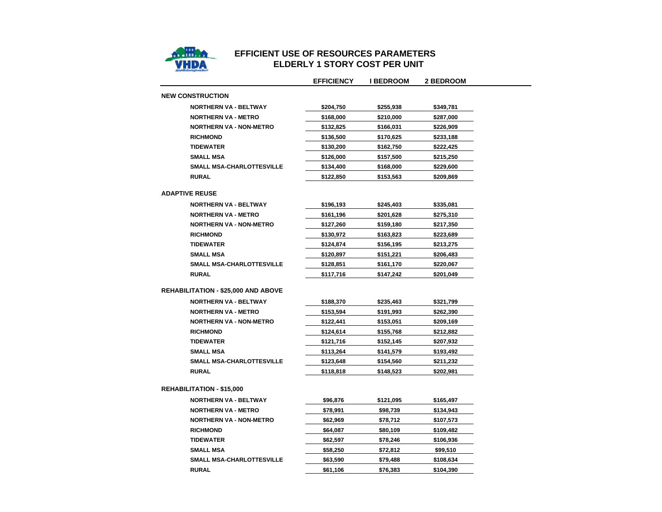

## **EFFICIENT USE OF RESOURCES PARAMETERS ELDERLY 1 STORY COST PER UNIT**

 $\overline{\phantom{0}}$ 

|                                            | <b>EFFICIENCY</b> | <b>I BEDROOM</b> | <b>2 BEDROOM</b> |
|--------------------------------------------|-------------------|------------------|------------------|
| <b>NEW CONSTRUCTION</b>                    |                   |                  |                  |
| <b>NORTHERN VA - BELTWAY</b>               | \$204,750         | \$255,938        | \$349,781        |
| <b>NORTHERN VA - METRO</b>                 | \$168,000         | \$210,000        | \$287,000        |
| <b>NORTHERN VA - NON-METRO</b>             | \$132,825         | \$166,031        | \$226,909        |
| <b>RICHMOND</b>                            | \$136,500         | \$170,625        | \$233,188        |
| <b>TIDEWATER</b>                           | \$130,200         | \$162,750        | \$222,425        |
| <b>SMALL MSA</b>                           | \$126,000         | \$157,500        | \$215,250        |
| <b>SMALL MSA-CHARLOTTESVILLE</b>           | \$134,400         | \$168,000        | \$229,600        |
| <b>RURAL</b>                               | \$122,850         | \$153,563        | \$209,869        |
| <b>ADAPTIVE REUSE</b>                      |                   |                  |                  |
| <b>NORTHERN VA - BELTWAY</b>               | \$196,193         | \$245,403        | \$335,081        |
| NORTHERN VA - METRO                        | \$161,196         | \$201,628        | \$275,310        |
| <b>NORTHERN VA - NON-METRO</b>             | \$127,260         | \$159,180        | \$217,350        |
| <b>RICHMOND</b>                            | \$130,972         | \$163,823        | \$223,689        |
| <b>TIDEWATER</b>                           | \$124,874         | \$156,195        | \$213,275        |
| <b>SMALL MSA</b>                           | \$120,897         | \$151,221        | \$206,483        |
| <b>SMALL MSA-CHARLOTTESVILLE</b>           | \$128,851         | \$161,170        | \$220,067        |
| <b>RURAL</b>                               | \$117,716         | \$147,242        | \$201,049        |
| <b>REHABILITATION - \$25,000 AND ABOVE</b> |                   |                  |                  |
| <b>NORTHERN VA - BELTWAY</b>               | \$188,370         | \$235,463        | \$321,799        |
| <b>NORTHERN VA - METRO</b>                 | \$153,594         | \$191,993        | \$262,390        |
| <b>NORTHERN VA - NON-METRO</b>             | \$122,441         | \$153,051        | \$209,169        |
| <b>RICHMOND</b>                            | \$124,614         | \$155,768        | \$212,882        |
| <b>TIDEWATER</b>                           | \$121,716         | \$152,145        | \$207,932        |
| <b>SMALL MSA</b>                           | \$113,264         | \$141,579        | \$193,492        |
| <b>SMALL MSA-CHARLOTTESVILLE</b>           | \$123,648         | \$154,560        | \$211,232        |
| <b>RURAL</b>                               | \$118,818         | \$148,523        | \$202,981        |
| <b>REHABILITATION - \$15,000</b>           |                   |                  |                  |
| <b>NORTHERN VA - BELTWAY</b>               | \$96,876          | \$121,095        | \$165,497        |
| <b>NORTHERN VA - METRO</b>                 | \$78,991          | \$98,739         | \$134,943        |
| <b>NORTHERN VA - NON-METRO</b>             | \$62,969          | \$78,712         | \$107,573        |
| <b>RICHMOND</b>                            | \$64,087          | \$80,109         | \$109,482        |
| <b>TIDEWATER</b>                           | \$62,597          | \$78,246         | \$106,936        |
| <b>SMALL MSA</b>                           | \$58,250          | \$72,812         | \$99,510         |
| <b>SMALL MSA-CHARLOTTESVILLE</b>           | \$63,590          | \$79,488         | \$108,634        |
| <b>RURAL</b>                               | \$61,106          | \$76,383         | \$104,390        |
|                                            |                   |                  |                  |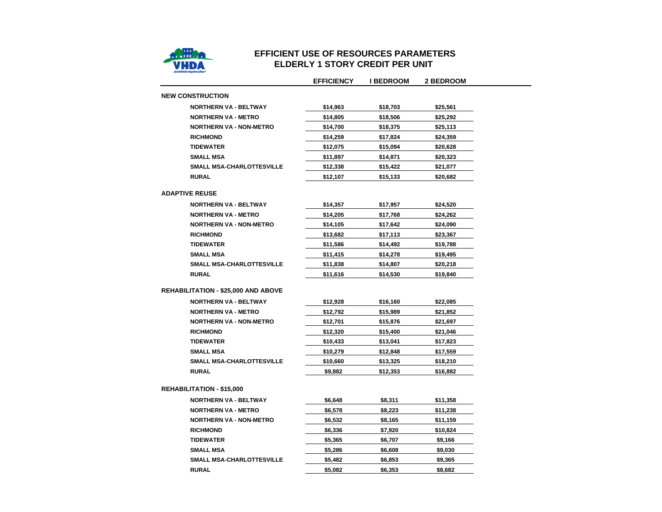

#### **EFFICIENT USE OF RESOURCES PARAMETERS ELDERLY 1 STORY CREDIT PER UNIT**

 $\overline{\phantom{0}}$ 

|                                            | <b>EFFICIENCY</b> | <b>I BEDROOM</b> | 2 BEDROOM |
|--------------------------------------------|-------------------|------------------|-----------|
| <b>NEW CONSTRUCTION</b>                    |                   |                  |           |
| <b>NORTHERN VA - BELTWAY</b>               | \$14,963          | \$18,703         | \$25,561  |
| <b>NORTHERN VA - METRO</b>                 | \$14,805          | \$18,506         | \$25,292  |
| <b>NORTHERN VA - NON-METRO</b>             | \$14,700          | \$18,375         | \$25,113  |
| <b>RICHMOND</b>                            | \$14,259          | \$17,824         | \$24,359  |
| <b>TIDEWATER</b>                           | \$12,075          | \$15,094         | \$20,628  |
| <b>SMALL MSA</b>                           | \$11,897          | \$14,871         | \$20,323  |
| <b>SMALL MSA-CHARLOTTESVILLE</b>           | \$12,338          | \$15,422         | \$21,077  |
| <b>RURAL</b>                               | \$12,107          | \$15,133         | \$20,682  |
| <b>ADAPTIVE REUSE</b>                      |                   |                  |           |
| <b>NORTHERN VA - BELTWAY</b>               | \$14,357          | \$17,957         | \$24,520  |
| <b>NORTHERN VA - METRO</b>                 | \$14,205          | \$17,768         | \$24,262  |
| <b>NORTHERN VA - NON-METRO</b>             | \$14,105          | \$17,642         | \$24,090  |
| <b>RICHMOND</b>                            | \$13,682          | \$17,113         | \$23,367  |
| <b>TIDEWATER</b>                           | \$11,586          | \$14,492         | \$19,788  |
| <b>SMALL MSA</b>                           | \$11,415          | \$14,278         | \$19,495  |
| SMALL MSA-CHARLOTTESVILLE                  | \$11,838          | \$14,807         | \$20,218  |
| <b>RURAL</b>                               | \$11,616          | \$14,530         | \$19,840  |
| <b>REHABILITATION - \$25,000 AND ABOVE</b> |                   |                  |           |
| <b>NORTHERN VA - BELTWAY</b>               | \$12,928          | \$16,160         | \$22,085  |
| <b>NORTHERN VA - METRO</b>                 | \$12,792          | \$15,989         | \$21,852  |
| <b>NORTHERN VA - NON-METRO</b>             | \$12,701          | \$15,876         | \$21,697  |
| <b>RICHMOND</b>                            | \$12,320          | \$15,400         | \$21,046  |
| <b>TIDEWATER</b>                           | \$10,433          | \$13,041         | \$17,823  |
| <b>SMALL MSA</b>                           | \$10,279          | \$12,848         | \$17,559  |
| SMALL MSA-CHARLOTTESVILLE                  | \$10,660          | \$13,325         | \$18,210  |
| <b>RURAL</b>                               | \$9,882           | \$12,353         | \$16,882  |
| <b>REHABILITATION - \$15,000</b>           |                   |                  |           |
| <b>NORTHERN VA - BELTWAY</b>               | \$6,648           | \$8,311          | \$11,358  |
| <b>NORTHERN VA - METRO</b>                 | \$6,578           | \$8,223          | \$11,238  |
| <b>NORTHERN VA - NON-METRO</b>             | \$6,532           | \$8,165          | \$11,159  |
| <b>RICHMOND</b>                            | \$6,336           | \$7,920          | \$10,824  |
| <b>TIDEWATER</b>                           | \$5,365           | \$6,707          | \$9,166   |
| <b>SMALL MSA</b>                           | \$5,286           | \$6,608          | \$9,030   |
| SMALL MSA-CHARLOTTESVILLE                  | \$5,482           | \$6,853          | \$9,365   |
| <b>RURAL</b>                               | \$5,082           | \$6,353          | \$8,682   |
|                                            |                   |                  |           |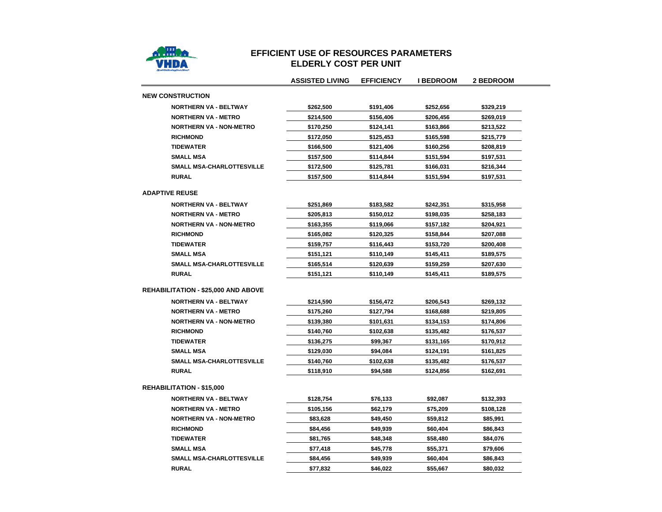

#### **EFFICIENT USE OF RESOURCES PARAMETERSELDERLY COST PER UNIT**

|                                            | <b>ASSISTED LIVING</b> | <b>EFFICIENCY</b> | I BEDROOM | <b>2 BEDROOM</b> |
|--------------------------------------------|------------------------|-------------------|-----------|------------------|
| <b>NEW CONSTRUCTION</b>                    |                        |                   |           |                  |
| <b>NORTHERN VA - BELTWAY</b>               | \$262,500              | \$191,406         | \$252,656 | \$329,219        |
| <b>NORTHERN VA - METRO</b>                 | \$214,500              | \$156,406         | \$206,456 | \$269,019        |
| <b>NORTHERN VA - NON-METRO</b>             | \$170,250              | \$124,141         | \$163,866 | \$213,522        |
| <b>RICHMOND</b>                            | \$172,050              | \$125,453         | \$165,598 | \$215,779        |
| <b>TIDEWATER</b>                           | \$166,500              | \$121,406         | \$160,256 | \$208,819        |
| <b>SMALL MSA</b>                           | \$157,500              | \$114,844         | \$151,594 | \$197,531        |
| <b>SMALL MSA-CHARLOTTESVILLE</b>           | \$172,500              | \$125,781         | \$166,031 | \$216,344        |
| <b>RURAL</b>                               | \$157,500              | \$114,844         | \$151,594 | \$197,531        |
| <b>ADAPTIVE REUSE</b>                      |                        |                   |           |                  |
| <b>NORTHERN VA - BELTWAY</b>               | \$251,869              | \$183,582         | \$242,351 | \$315,958        |
| <b>NORTHERN VA - METRO</b>                 | \$205,813              | \$150,012         | \$198,035 | \$258,183        |
| <b>NORTHERN VA - NON-METRO</b>             | \$163,355              | \$119,066         | \$157,182 | \$204,921        |
| <b>RICHMOND</b>                            | \$165,082              | \$120,325         | \$158,844 | \$207,088        |
| <b>TIDEWATER</b>                           | \$159,757              | \$116,443         | \$153,720 | \$200,408        |
| SMALL MSA                                  | \$151,121              | \$110,149         | \$145,411 | \$189,575        |
| SMALL MSA-CHARLOTTESVILLE                  | \$165,514              | \$120,639         | \$159,259 | \$207,630        |
| <b>RURAL</b>                               | \$151,121              | \$110,149         | \$145,411 | \$189,575        |
| <b>REHABILITATION - \$25,000 AND ABOVE</b> |                        |                   |           |                  |
| NORTHERN VA - BELTWAY                      | \$214,590              | \$156,472         | \$206,543 | \$269,132        |
| <b>NORTHERN VA - METRO</b>                 | \$175,260              | \$127,794         | \$168,688 | \$219,805        |
| <b>NORTHERN VA - NON-METRO</b>             | \$139,380              | \$101,631         | \$134,153 | \$174,806        |
| <b>RICHMOND</b>                            | \$140,760              | \$102,638         | \$135,482 | \$176,537        |
| <b>TIDEWATER</b>                           | \$136,275              | \$99,367          | \$131,165 | \$170,912        |
| <b>SMALL MSA</b>                           | \$129,030              | \$94,084          | \$124,191 | \$161,825        |
| SMALL MSA-CHARLOTTESVILLE                  | \$140,760              | \$102,638         | \$135,482 | \$176,537        |
| <b>RURAL</b>                               | \$118,910              | \$94,588          | \$124,856 | \$162,691        |
| <b>REHABILITATION - \$15,000</b>           |                        |                   |           |                  |
| <b>NORTHERN VA - BELTWAY</b>               | \$128,754              | \$76,133          | \$92,087  | \$132,393        |
| <b>NORTHERN VA - METRO</b>                 | \$105,156              | \$62,179          | \$75,209  | \$108,128        |
| <b>NORTHERN VA - NON-METRO</b>             | \$83,628               | \$49,450          | \$59,812  | \$85,991         |
| <b>RICHMOND</b>                            | \$84,456               | \$49,939          | \$60,404  | \$86,843         |
| <b>TIDEWATER</b>                           | \$81,765               | \$48,348          | \$58,480  | \$84,076         |
| <b>SMALL MSA</b>                           | \$77,418               | \$45,778          | \$55,371  | \$79,606         |
| <b>SMALL MSA-CHARLOTTESVILLE</b>           | \$84,456               | \$49,939          | \$60,404  | \$86,843         |
| <b>RURAL</b>                               | \$77,832               | \$46,022          | \$55,667  | \$80,032         |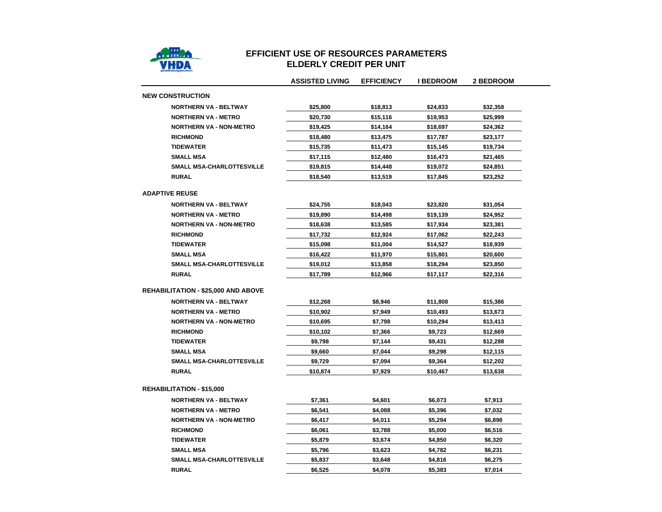

## **EFFICIENT USE OF RESOURCES PARAMETERSELDERLY CREDIT PER UNIT**

|                                            | <b>ASSISTED LIVING</b> | <b>EFFICIENCY</b> | <b>I BEDROOM</b> | 2 BEDROOM |
|--------------------------------------------|------------------------|-------------------|------------------|-----------|
| <b>NEW CONSTRUCTION</b>                    |                        |                   |                  |           |
| <b>NORTHERN VA - BELTWAY</b>               | \$25,800               | \$18,813          | \$24,833         | \$32,358  |
| <b>NORTHERN VA - METRO</b>                 | \$20,730               | \$15,116          | \$19,953         | \$25,999  |
| <b>NORTHERN VA - NON-METRO</b>             | \$19,425               | \$14,164          | \$18,697         | \$24,362  |
| <b>RICHMOND</b>                            | \$18,480               | \$13,475          | \$17,787         | \$23,177  |
| <b>TIDEWATER</b>                           | \$15,735               | \$11,473          | \$15,145         | \$19,734  |
| <b>SMALL MSA</b>                           | \$17,115               | \$12,480          | \$16,473         | \$21,465  |
| SMALL MSA-CHARLOTTESVILLE                  | \$19,815               | \$14,448          | \$19,072         | \$24,851  |
| <b>RURAL</b>                               | \$18,540               | \$13,519          | \$17,845         | \$23,252  |
| <b>ADAPTIVE REUSE</b>                      |                        |                   |                  |           |
| <b>NORTHERN VA - BELTWAY</b>               | \$24,755               | \$18,043          | \$23,820         | \$31,054  |
| <b>NORTHERN VA - METRO</b>                 | \$19,890               | \$14,498          | \$19,139         | \$24,952  |
| <b>NORTHERN VA - NON-METRO</b>             | \$18,638               | \$13,585          | \$17,934         | \$23,381  |
| <b>RICHMOND</b>                            | \$17,732               | \$12,924          | \$17,062         | \$22,243  |
| <b>TIDEWATER</b>                           | \$15,098               | \$11,004          | \$14,527         | \$18,939  |
| <b>SMALL MSA</b>                           | \$16,422               | \$11,970          | \$15,801         | \$20,600  |
| SMALL MSA-CHARLOTTESVILLE                  | \$19,012               | \$13,858          | \$18,294         | \$23,850  |
| <b>RURAL</b>                               | \$17,789               | \$12,966          | \$17,117         | \$22,316  |
| <b>REHABILITATION - \$25,000 AND ABOVE</b> |                        |                   |                  |           |
| <b>NORTHERN VA - BELTWAY</b>               | \$12,268               | \$8,946           | \$11,808         | \$15,386  |
| <b>NORTHERN VA - METRO</b>                 | \$10,902               | \$7,949           | \$10,493         | \$13,673  |
| <b>NORTHERN VA - NON-METRO</b>             | \$10,695               | \$7,798           | \$10,294         | \$13,413  |
| <b>RICHMOND</b>                            | \$10,102               | \$7,366           | \$9,723          | \$12,669  |
| <b>TIDEWATER</b>                           | \$9,798                | \$7,144           | \$9,431          | \$12,288  |
| <b>SMALL MSA</b>                           | \$9,660                | \$7,044           | \$9,298          | \$12,115  |
| SMALL MSA-CHARLOTTESVILLE                  | \$9,729                | \$7,094           | \$9,364          | \$12,202  |
| <b>RURAL</b>                               | \$10,874               | \$7,929           | \$10,467         | \$13,638  |
| <b>REHABILITATION - \$15,000</b>           |                        |                   |                  |           |
| <b>NORTHERN VA - BELTWAY</b>               | \$7,361                | \$4,601           | \$6,073          | \$7,913   |
| <b>NORTHERN VA - METRO</b>                 | \$6,541                | \$4,088           | \$5,396          | \$7,032   |
| <b>NORTHERN VA - NON-METRO</b>             | \$6,417                | \$4,011           | \$5,294          | \$6,898   |
| <b>RICHMOND</b>                            | \$6,061                | \$3,788           | \$5,000          | \$6,516   |
| <b>TIDEWATER</b>                           | \$5,879                | \$3,674           | \$4,850          | \$6,320   |
| <b>SMALL MSA</b>                           | \$5,796                | \$3,623           | \$4,782          | \$6,231   |
| SMALL MSA-CHARLOTTESVILLE                  | \$5,837                | \$3,648           | \$4,816          | \$6,275   |
| <b>RURAL</b>                               | \$6,525                | \$4,078           | \$5,383          | \$7,014   |
|                                            |                        |                   |                  |           |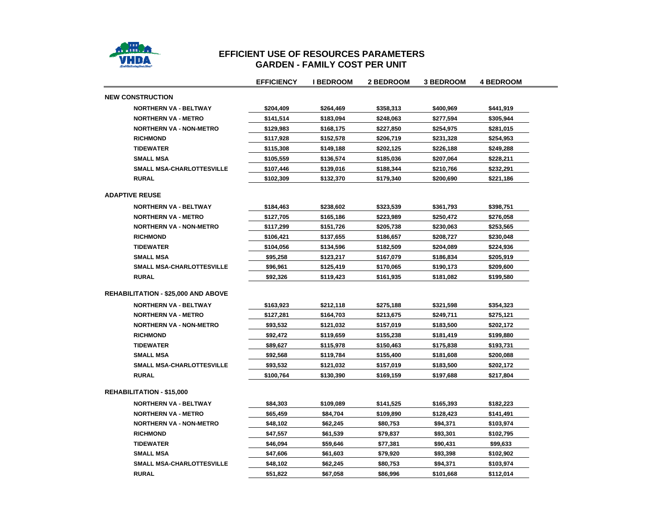

#### **EFFICIENT USE OF RESOURCES PARAMETERS GARDEN - FAMILY COST PER UNI T**

|                                            | <b>EFFICIENCY</b> | <b>I BEDROOM</b> | 2 BEDROOM | <b>3 BEDROOM</b> | <b>4 BEDROOM</b> |
|--------------------------------------------|-------------------|------------------|-----------|------------------|------------------|
| <b>NEW CONSTRUCTION</b>                    |                   |                  |           |                  |                  |
| <b>NORTHERN VA - BELTWAY</b>               | \$204,409         | \$264,469        | \$358,313 | \$400,969        | \$441,919        |
| <b>NORTHERN VA - METRO</b>                 | \$141,514         | \$183,094        | \$248,063 | \$277,594        | \$305,944        |
| <b>NORTHERN VA - NON-METRO</b>             | \$129,983         | \$168,175        | \$227,850 | \$254,975        | \$281,015        |
| <b>RICHMOND</b>                            | \$117,928         | \$152,578        | \$206,719 | \$231,328        | \$254,953        |
| <b>TIDEWATER</b>                           | \$115,308         | \$149,188        | \$202,125 | \$226,188        | \$249,288        |
| <b>SMALL MSA</b>                           | \$105,559         | \$136,574        | \$185,036 | \$207,064        | \$228,211        |
| <b>SMALL MSA-CHARLOTTESVILLE</b>           | \$107,446         | \$139,016        | \$188,344 | \$210,766        | \$232,291        |
| <b>RURAL</b>                               | \$102,309         | \$132,370        | \$179,340 | \$200,690        | \$221,186        |
| <b>ADAPTIVE REUSE</b>                      |                   |                  |           |                  |                  |
| <b>NORTHERN VA - BELTWAY</b>               | \$184,463         | \$238,602        | \$323,539 | \$361,793        | \$398,751        |
| <b>NORTHERN VA - METRO</b>                 | \$127,705         | \$165,186        | \$223,989 | \$250,472        | \$276,058        |
| <b>NORTHERN VA - NON-METRO</b>             | \$117,299         | \$151,726        | \$205,738 | \$230,063        | \$253,565        |
| <b>RICHMOND</b>                            | \$106,421         | \$137,655        | \$186,657 | \$208,727        | \$230,048        |
| <b>TIDEWATER</b>                           | \$104,056         | \$134,596        | \$182,509 | \$204,089        | \$224,936        |
| <b>SMALL MSA</b>                           | \$95,258          | \$123,217        | \$167,079 | \$186,834        | \$205,919        |
| <b>SMALL MSA-CHARLOTTESVILLE</b>           | \$96,961          | \$125,419        | \$170,065 | \$190,173        | \$209,600        |
| <b>RURAL</b>                               | \$92,326          | \$119,423        | \$161,935 | \$181,082        | \$199,580        |
| <b>REHABILITATION - \$25,000 AND ABOVE</b> |                   |                  |           |                  |                  |
| <b>NORTHERN VA - BELTWAY</b>               | \$163,923         | \$212,118        | \$275,188 | \$321,598        | \$354,323        |
| <b>NORTHERN VA - METRO</b>                 | \$127,281         | \$164,703        | \$213,675 | \$249,711        | \$275,121        |
| <b>NORTHERN VA - NON-METRO</b>             | \$93,532          | \$121,032        | \$157,019 | \$183,500        | \$202,172        |
| <b>RICHMOND</b>                            | \$92,472          | \$119,659        | \$155,238 | \$181,419        | \$199,880        |
| <b>TIDEWATER</b>                           | \$89,627          | \$115,978        | \$150,463 | \$175,838        | \$193,731        |
| <b>SMALL MSA</b>                           | \$92,568          | \$119,784        | \$155,400 | \$181,608        | \$200,088        |
| SMALL MSA-CHARLOTTESVILLE                  | \$93,532          | \$121,032        | \$157,019 | \$183,500        | \$202,172        |
| <b>RURAL</b>                               | \$100,764         | \$130,390        | \$169,159 | \$197,688        | \$217,804        |
| <b>REHABILITATION - \$15,000</b>           |                   |                  |           |                  |                  |
| <b>NORTHERN VA - BELTWAY</b>               | \$84,303          | \$109,089        | \$141,525 | \$165,393        | \$182,223        |
| <b>NORTHERN VA - METRO</b>                 | \$65,459          | \$84,704         | \$109,890 | \$128,423        | \$141,491        |
| <b>NORTHERN VA - NON-METRO</b>             | \$48,102          | \$62,245         | \$80,753  | \$94,371         | \$103,974        |
| <b>RICHMOND</b>                            | \$47,557          | \$61,539         | \$79,837  | \$93,301         | \$102,795        |
| <b>TIDEWATER</b>                           | \$46,094          | \$59,646         | \$77,381  | \$90,431         | \$99,633         |
| <b>SMALL MSA</b>                           | \$47,606          | \$61,603         | \$79,920  | \$93,398         | \$102,902        |
| <b>SMALL MSA-CHARLOTTESVILLE</b>           | \$48,102          | \$62,245         | \$80,753  | \$94,371         | \$103,974        |
| <b>RURAL</b>                               | \$51.822          | \$67.058         | \$86.996  | \$101.668        | \$112,014        |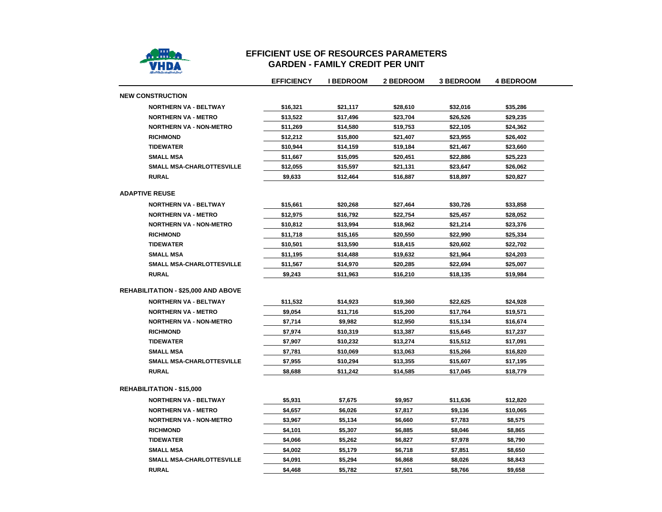

### **EFFICIENT USE OF RESOURCES PARAMETERSGARDEN - FAMILY CREDIT PER UNIT**

|                                            | <b>EFFICIENCY</b> | <b>I BEDROOM</b> | <b>2 BEDROOM</b> | <b>3 BEDROOM</b> | <b>4 BEDROOM</b> |
|--------------------------------------------|-------------------|------------------|------------------|------------------|------------------|
| <b>NEW CONSTRUCTION</b>                    |                   |                  |                  |                  |                  |
| <b>NORTHERN VA - BELTWAY</b>               | \$16,321          | \$21,117         | \$28,610         | \$32,016         | \$35,286         |
| <b>NORTHERN VA - METRO</b>                 | \$13,522          | \$17,496         | \$23,704         | \$26,526         | \$29,235         |
| <b>NORTHERN VA - NON-METRO</b>             | \$11,269          | \$14,580         | \$19,753         | \$22,105         | \$24,362         |
| <b>RICHMOND</b>                            | \$12,212          | \$15,800         | \$21,407         | \$23,955         | \$26,402         |
| <b>TIDEWATER</b>                           | \$10,944          | \$14,159         | \$19,184         | \$21,467         | \$23,660         |
| <b>SMALL MSA</b>                           | \$11,667          | \$15,095         | \$20,451         | \$22,886         | \$25,223         |
| SMALL MSA-CHARLOTTESVILLE                  | \$12,055          | \$15,597         | \$21,131         | \$23,647         | \$26,062         |
| <b>RURAL</b>                               | \$9,633           | \$12,464         | \$16,887         | \$18,897         | \$20,827         |
| <b>ADAPTIVE REUSE</b>                      |                   |                  |                  |                  |                  |
| <b>NORTHERN VA - BELTWAY</b>               | \$15,661          | \$20,268         | \$27,464         | \$30,726         | \$33,858         |
| <b>NORTHERN VA - METRO</b>                 | \$12,975          | \$16,792         | \$22,754         | \$25,457         | \$28,052         |
| <b>NORTHERN VA - NON-METRO</b>             | \$10,812          | \$13,994         | \$18,962         | \$21,214         | \$23,376         |
| <b>RICHMOND</b>                            | \$11,718          | \$15,165         | \$20,550         | \$22,990         | \$25,334         |
| <b>TIDEWATER</b>                           | \$10,501          | \$13,590         | \$18,415         | \$20,602         | \$22,702         |
| <b>SMALL MSA</b>                           | \$11,195          | \$14,488         | \$19,632         | \$21,964         | \$24,203         |
| SMALL MSA-CHARLOTTESVILLE                  | \$11,567          | \$14,970         | \$20,285         | \$22,694         | \$25,007         |
| <b>RURAL</b>                               | \$9,243           | \$11,963         | \$16,210         | \$18,135         | \$19,984         |
| <b>REHABILITATION - \$25,000 AND ABOVE</b> |                   |                  |                  |                  |                  |
| <b>NORTHERN VA - BELTWAY</b>               | \$11,532          | \$14,923         | \$19,360         | \$22,625         | \$24,928         |
| <b>NORTHERN VA - METRO</b>                 | \$9,054           | \$11,716         | \$15,200         | \$17,764         | \$19,571         |
| <b>NORTHERN VA - NON-METRO</b>             | \$7,714           | \$9,982          | \$12,950         | \$15,134         | \$16,674         |
| <b>RICHMOND</b>                            | \$7,974           | \$10,319         | \$13,387         | \$15,645         | \$17,237         |
| <b>TIDEWATER</b>                           | \$7,907           | \$10,232         | \$13,274         | \$15,512         | \$17,091         |
| <b>SMALL MSA</b>                           | \$7,781           | \$10,069         | \$13,063         | \$15,266         | \$16,820         |
| <b>SMALL MSA-CHARLOTTESVILLE</b>           | \$7,955           | \$10,294         | \$13,355         | \$15,607         | \$17,195         |
| <b>RURAL</b>                               | \$8,688           | \$11,242         | \$14,585         | \$17,045         | \$18,779         |
| <b>REHABILITATION - \$15,000</b>           |                   |                  |                  |                  |                  |
| <b>NORTHERN VA - BELTWAY</b>               | \$5,931           | \$7,675          | \$9,957          | \$11,636         | \$12,820         |
| <b>NORTHERN VA - METRO</b>                 | \$4,657           | \$6,026          | \$7,817          | \$9,136          | \$10,065         |
| <b>NORTHERN VA - NON-METRO</b>             | \$3,967           | \$5,134          | \$6,660          | \$7,783          | \$8,575          |
| <b>RICHMOND</b>                            | \$4,101           | \$5,307          | \$6,885          | \$8,046          | \$8,865          |
| <b>TIDEWATER</b>                           | \$4,066           | \$5,262          | \$6,827          | \$7,978          | \$8,790          |
| <b>SMALL MSA</b>                           | \$4,002           | \$5,179          | \$6,718          | \$7,851          | \$8,650          |
| <b>SMALL MSA-CHARLOTTESVILLE</b>           | \$4,091           | \$5,294          | \$6,868          | \$8,026          | \$8,843          |
| <b>RURAL</b>                               | \$4,468           | \$5,782          | \$7,501          | \$8,766          | \$9,658          |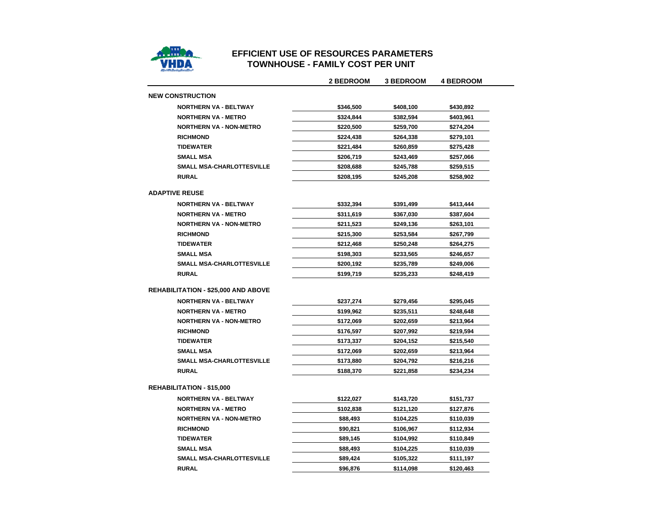

## **EFFICIENT USE OF RESOURCES PARAMETERSTOWNHOUSE - FAMILY COST PER UNIT**

|                                            | <b>2 BEDROOM</b> | <b>3 BEDROOM</b> | <b>4 BEDROOM</b> |
|--------------------------------------------|------------------|------------------|------------------|
| <b>NEW CONSTRUCTION</b>                    |                  |                  |                  |
| <b>NORTHERN VA - BELTWAY</b>               | \$346,500        | \$408,100        | \$430,892        |
| <b>NORTHERN VA - METRO</b>                 | \$324,844        | \$382,594        | \$403,961        |
| <b>NORTHERN VA - NON-METRO</b>             | \$220,500        | \$259,700        | \$274,204        |
| <b>RICHMOND</b>                            | \$224,438        | \$264,338        | \$279,101        |
| <b>TIDEWATER</b>                           | \$221,484        | \$260,859        | \$275,428        |
| <b>SMALL MSA</b>                           | \$206,719        | \$243,469        | \$257,066        |
| <b>SMALL MSA-CHARLOTTESVILLE</b>           | \$208,688        | \$245,788        | \$259,515        |
| <b>RURAL</b>                               | \$208,195        | \$245,208        | \$258,902        |
| <b>ADAPTIVE REUSE</b>                      |                  |                  |                  |
| <b>NORTHERN VA - BELTWAY</b>               | \$332,394        | \$391,499        | \$413,444        |
| <b>NORTHERN VA - METRO</b>                 | \$311,619        | \$367,030        | \$387,604        |
| <b>NORTHERN VA - NON-METRO</b>             | \$211,523        | \$249,136        | \$263,101        |
| <b>RICHMOND</b>                            | \$215,300        | \$253,584        | \$267,799        |
| <b>TIDEWATER</b>                           | \$212,468        | \$250,248        | \$264,275        |
| <b>SMALL MSA</b>                           | \$198,303        | \$233,565        | \$246,657        |
| <b>SMALL MSA-CHARLOTTESVILLE</b>           | \$200,192        | \$235,789        | \$249,006        |
| <b>RURAL</b>                               | \$199,719        | \$235,233        | \$248,419        |
| <b>REHABILITATION - \$25,000 AND ABOVE</b> |                  |                  |                  |
| <b>NORTHERN VA - BELTWAY</b>               | \$237,274        | \$279,456        | \$295,045        |
| <b>NORTHERN VA - METRO</b>                 | \$199,962        | \$235,511        | \$248,648        |
| <b>NORTHERN VA - NON-METRO</b>             | \$172,069        | \$202,659        | \$213,964        |
| <b>RICHMOND</b>                            | \$176,597        | \$207,992        | \$219,594        |
| <b>TIDEWATER</b>                           | \$173,337        | \$204,152        | \$215,540        |
| <b>SMALL MSA</b>                           | \$172,069        | \$202,659        | \$213,964        |
| SMALL MSA-CHARLOTTESVILLE                  | \$173,880        | \$204,792        | \$216,216        |
| <b>RURAL</b>                               | \$188.370        | \$221,858        | \$234,234        |
| <b>REHABILITATION - \$15,000</b>           |                  |                  |                  |
| <b>NORTHERN VA - BELTWAY</b>               | \$122,027        | \$143,720        | \$151,737        |
| <b>NORTHERN VA - METRO</b>                 | \$102,838        | \$121,120        | \$127,876        |
| <b>NORTHERN VA - NON-METRO</b>             | \$88,493         | \$104,225        | \$110,039        |
| <b>RICHMOND</b>                            | \$90,821         | \$106,967        | \$112,934        |
| <b>TIDEWATER</b>                           | \$89,145         | \$104,992        | \$110,849        |
| <b>SMALL MSA</b>                           | \$88,493         | \$104,225        | \$110,039        |
| <b>SMALL MSA-CHARLOTTESVILLE</b>           | \$89,424         | \$105,322        | \$111,197        |
| <b>RURAL</b>                               | \$96,876         | \$114,098        | \$120,463        |